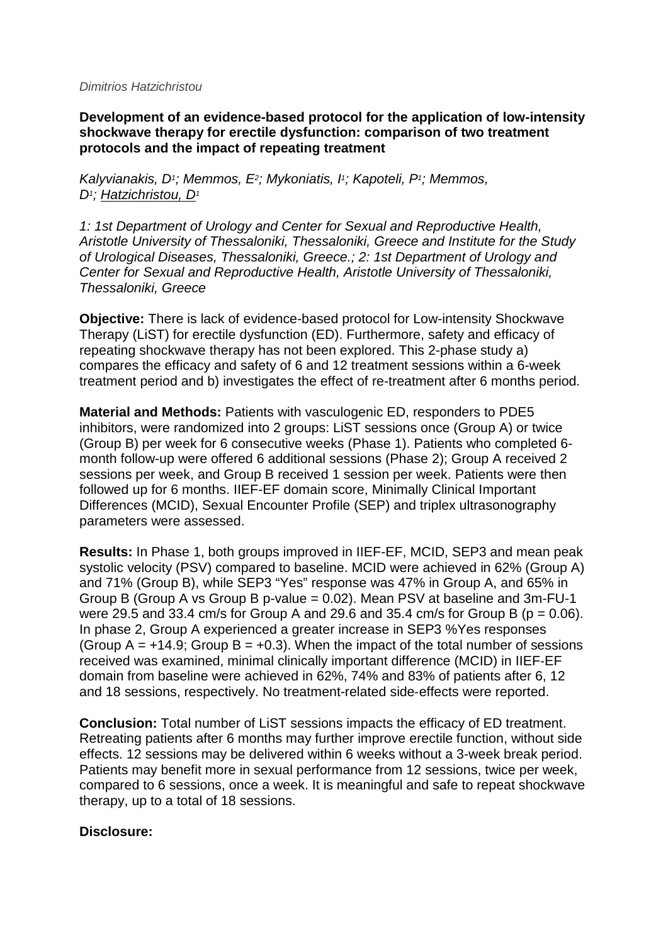## *Dimitrios Hatzichristou*

**Development of an evidence-based protocol for the application of low-intensity shockwave therapy for erectile dysfunction: comparison of two treatment protocols and the impact of repeating treatment**

*Kalyvianakis, D1; Memmos, E2; Mykoniatis, I1; Kapoteli, P1; Memmos, D1; Hatzichristou, D1*

*1: 1st Department of Urology and Center for Sexual and Reproductive Health, Aristotle University of Thessaloniki, Thessaloniki, Greece and Institute for the Study of Urological Diseases, Thessaloniki, Greece.; 2: 1st Department of Urology and Center for Sexual and Reproductive Health, Aristotle University of Thessaloniki, Thessaloniki, Greece*

**Objective:** There is lack of evidence-based protocol for Low-intensity Shockwave Therapy (LiST) for erectile dysfunction (ED). Furthermore, safety and efficacy of repeating shockwave therapy has not been explored. This 2-phase study a) compares the efficacy and safety of 6 and 12 treatment sessions within a 6-week treatment period and b) investigates the effect of re-treatment after 6 months period.

**Material and Methods:** Patients with vasculogenic ED, responders to PDE5 inhibitors, were randomized into 2 groups: LiST sessions once (Group A) or twice (Group B) per week for 6 consecutive weeks (Phase 1). Patients who completed 6 month follow-up were offered 6 additional sessions (Phase 2); Group A received 2 sessions per week, and Group B received 1 session per week. Patients were then followed up for 6 months. IIEF-EF domain score, Minimally Clinical Important Differences (MCID), Sexual Encounter Profile (SEP) and triplex ultrasonography parameters were assessed.

**Results:** In Phase 1, both groups improved in IIEF-EF, MCID, SEP3 and mean peak systolic velocity (PSV) compared to baseline. MCID were achieved in 62% (Group A) and 71% (Group B), while SEP3 "Yes" response was 47% in Group A, and 65% in Group B (Group A vs Group B p-value = 0.02). Mean PSV at baseline and 3m-FU-1 were 29.5 and 33.4 cm/s for Group A and 29.6 and 35.4 cm/s for Group B ( $p = 0.06$ ). In phase 2, Group A experienced a greater increase in SEP3 %Yes responses (Group  $A = +14.9$ ; Group  $B = +0.3$ ). When the impact of the total number of sessions received was examined, minimal clinically important difference (MCID) in IIEF‐EF domain from baseline were achieved in 62%, 74% and 83% of patients after 6, 12 and 18 sessions, respectively. No treatment-related side‐effects were reported.

**Conclusion:** Total number of LiST sessions impacts the efficacy of ED treatment. Retreating patients after 6 months may further improve erectile function, without side effects. 12 sessions may be delivered within 6 weeks without a 3-week break period. Patients may benefit more in sexual performance from 12 sessions, twice per week, compared to 6 sessions, once a week. It is meaningful and safe to repeat shockwave therapy, up to a total of 18 sessions.

## **Disclosure:**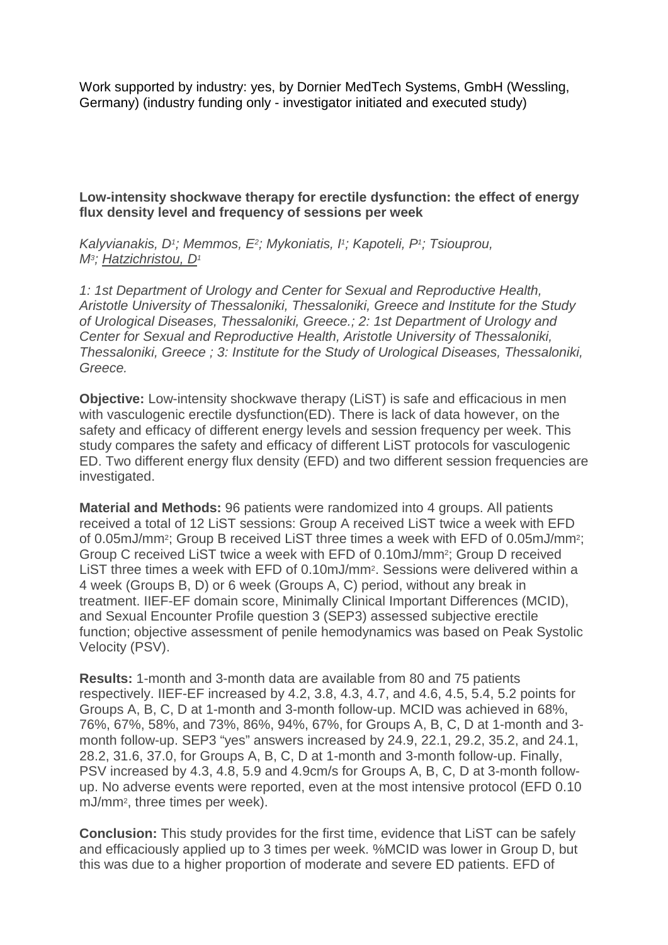Work supported by industry: yes, by Dornier MedTech Systems, GmbH (Wessling, Germany) (industry funding only - investigator initiated and executed study)

**Low-intensity shockwave therapy for erectile dysfunction: the effect of energy flux density level and frequency of sessions per week**

*Kalyvianakis, D1; Memmos, E2; Mykoniatis, I1; Kapoteli, P1; Tsiouprou, M3; Hatzichristou, D1*

*1: 1st Department of Urology and Center for Sexual and Reproductive Health, Aristotle University of Thessaloniki, Thessaloniki, Greece and Institute for the Study of Urological Diseases, Thessaloniki, Greece.; 2: 1st Department of Urology and Center for Sexual and Reproductive Health, Aristotle University of Thessaloniki, Thessaloniki, Greece ; 3: Institute for the Study of Urological Diseases, Thessaloniki, Greece.*

**Objective:** Low-intensity shockwave therapy (LiST) is safe and efficacious in men with vasculogenic erectile dysfunction(ED). There is lack of data however, on the safety and efficacy of different energy levels and session frequency per week. This study compares the safety and efficacy of different LiST protocols for vasculogenic ED. Two different energy flux density (EFD) and two different session frequencies are investigated.

**Material and Methods:** 96 patients were randomized into 4 groups. All patients received a total of 12 LiST sessions: Group A received LiST twice a week with EFD of 0.05mJ/mm2; Group B received LiST three times a week with EFD of 0.05mJ/mm2; Group C received LiST twice a week with EFD of 0.10mJ/mm2; Group D received LIST three times a week with EFD of 0.10mJ/mm<sup>2</sup>. Sessions were delivered within a 4 week (Groups B, D) or 6 week (Groups A, C) period, without any break in treatment. IIEF-EF domain score, Minimally Clinical Important Differences (MCID), and Sexual Encounter Profile question 3 (SEP3) assessed subjective erectile function; objective assessment of penile hemodynamics was based on Peak Systolic Velocity (PSV).

**Results:** 1-month and 3-month data are available from 80 and 75 patients respectively. IIEF-EF increased by 4.2, 3.8, 4.3, 4.7, and 4.6, 4.5, 5.4, 5.2 points for Groups A, B, C, D at 1-month and 3-month follow-up. MCID was achieved in 68%, 76%, 67%, 58%, and 73%, 86%, 94%, 67%, for Groups A, B, C, D at 1-month and 3 month follow-up. SEP3 "yes" answers increased by 24.9, 22.1, 29.2, 35.2, and 24.1, 28.2, 31.6, 37.0, for Groups A, B, C, D at 1-month and 3-month follow-up. Finally, PSV increased by 4.3, 4.8, 5.9 and 4.9cm/s for Groups A, B, C, D at 3-month followup. No adverse events were reported, even at the most intensive protocol (EFD 0.10 mJ/mm2, three times per week).

**Conclusion:** This study provides for the first time, evidence that LiST can be safely and efficaciously applied up to 3 times per week. %MCID was lower in Group D, but this was due to a higher proportion of moderate and severe ED patients. EFD of